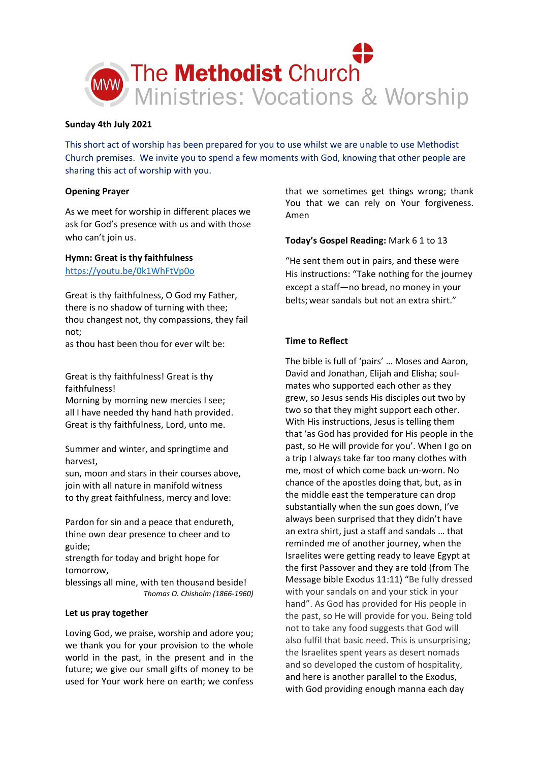

# **Sunday 4th July 2021**

This short act of worship has been prepared for you to use whilst we are unable to use Methodist Church premises. We invite you to spend a few moments with God, knowing that other people are sharing this act of worship with you.

## **Opening Prayer**

As we meet for worship in different places we ask for God's presence with us and with those who can't join us.

## **Hymn: Great is thy faithfulness**

<https://youtu.be/0k1WhFtVp0o>

Great is thy faithfulness, O God my Father, there is no shadow of turning with thee; thou changest not, thy compassions, they fail not;

as thou hast been thou for ever wilt be:

Great is thy faithfulness! Great is thy faithfulness!

Morning by morning new mercies I see; all I have needed thy hand hath provided. Great is thy faithfulness, Lord, unto me.

Summer and winter, and springtime and harvest,

sun, moon and stars in their courses above, join with all nature in manifold witness to thy great faithfulness, mercy and love:

Pardon for sin and a peace that endureth, thine own dear presence to cheer and to guide;

strength for today and bright hope for tomorrow,

blessings all mine, with ten thousand beside! *Thomas O. Chisholm (1866-1960)*

# **Let us pray together**

Loving God, we praise, worship and adore you; we thank you for your provision to the whole world in the past, in the present and in the future; we give our small gifts of money to be used for Your work here on earth; we confess

that we sometimes get things wrong; thank You that we can rely on Your forgiveness. Amen

# **Today's Gospel Reading:** Mark 6 1 to 13

"He sent them out in pairs, and these were His instructions: "Take nothing for the journey except a staff—no bread, no money in your belts;wear sandals but not an extra shirt."

# **Time to Reflect**

The bible is full of 'pairs' … Moses and Aaron, David and Jonathan, Elijah and Elisha; soulmates who supported each other as they grew, so Jesus sends His disciples out two by two so that they might support each other. With His instructions, Jesus is telling them that 'as God has provided for His people in the past, so He will provide for you'. When I go on a trip I always take far too many clothes with me, most of which come back un-worn. No chance of the apostles doing that, but, as in the middle east the temperature can drop substantially when the sun goes down, I've always been surprised that they didn't have an extra shirt, just a staff and sandals … that reminded me of another journey, when the Israelites were getting ready to leave Egypt at the first Passover and they are told (from The Message bible Exodus 11:11) "Be fully dressed with your sandals on and your stick in your hand". As God has provided for His people in the past, so He will provide for you. Being told not to take any food suggests that God will also fulfil that basic need. This is unsurprising; the Israelites spent years as desert nomads and so developed the custom of hospitality, and here is another parallel to the Exodus, with God providing enough manna each day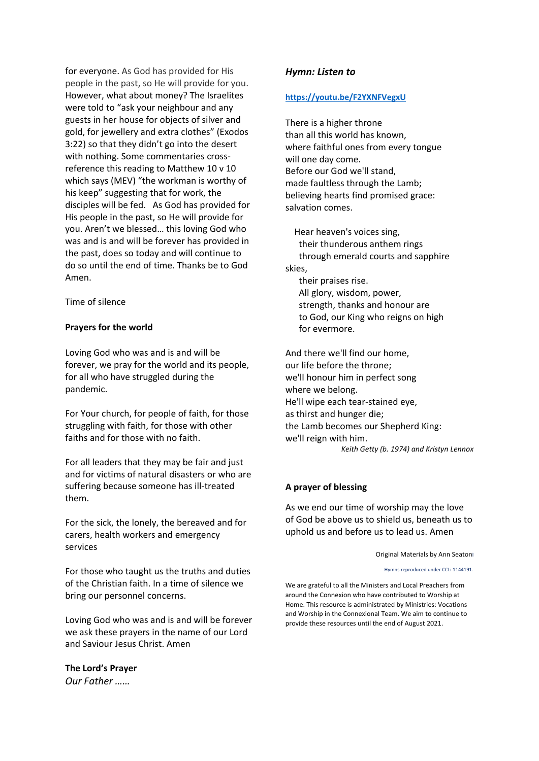for everyone. As God has provided for His people in the past, so He will provide for you. However, what about money? The Israelites were told to "ask your neighbour and any guests in her house for objects of silver and gold, for jewellery and extra clothes" (Exodos 3:22) so that they didn't go into the desert with nothing. Some commentaries crossreference this reading to Matthew 10 v 10 which says (MEV) "the workman is worthy of his keep" suggesting that for work, the disciples will be fed. As God has provided for His people in the past, so He will provide for you. Aren't we blessed… this loving God who was and is and will be forever has provided in the past, does so today and will continue to do so until the end of time. Thanks be to God Amen.

Time of silence

## **Prayers for the world**

Loving God who was and is and will be forever, we pray for the world and its people, for all who have struggled during the pandemic.

For Your church, for people of faith, for those struggling with faith, for those with other faiths and for those with no faith.

For all leaders that they may be fair and just and for victims of natural disasters or who are suffering because someone has ill-treated them.

For the sick, the lonely, the bereaved and for carers, health workers and emergency services

For those who taught us the truths and duties of the Christian faith. In a time of silence we bring our personnel concerns.

Loving God who was and is and will be forever we ask these prayers in the name of our Lord and Saviour Jesus Christ. Amen

**The Lord's Prayer** *Our Father ……*

## *Hymn: Listen to*

#### **<https://youtu.be/F2YXNFVegxU>**

There is a higher throne than all this world has known, where faithful ones from every tongue will one day come. Before our God we'll stand, made faultless through the Lamb; believing hearts find promised grace: salvation comes.

 Hear heaven's voices sing, their thunderous anthem rings through emerald courts and sapphire skies,

 their praises rise. All glory, wisdom, power, strength, thanks and honour are to God, our King who reigns on high for evermore.

And there we'll find our home, our life before the throne; we'll honour him in perfect song where we belong. He'll wipe each tear-stained eye, as thirst and hunger die; the Lamb becomes our Shepherd King: we'll reign with him. *Keith Getty (b. 1974) and Kristyn Lennox*

#### **A prayer of blessing**

As we end our time of worship may the love of God be above us to shield us, beneath us to uphold us and before us to lead us. Amen

Original Materials by Ann Seatonl

Hymns reproduced under CCLi 1144191.

We are grateful to all the Ministers and Local Preachers from around the Connexion who have contributed to Worship at Home. This resource is administrated by Ministries: Vocations and Worship in the Connexional Team. We aim to continue to provide these resources until the end of August 2021.